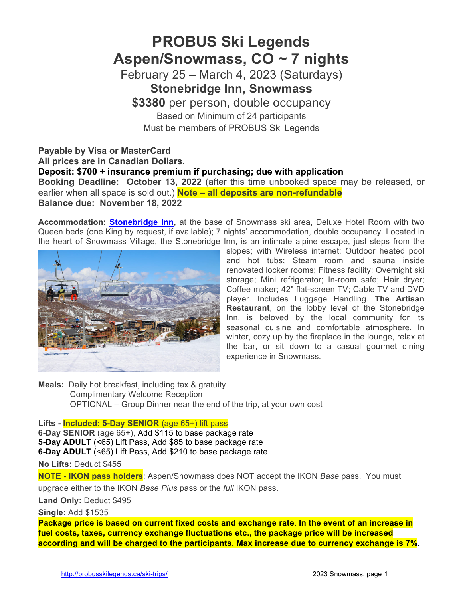# **PROBUS Ski Legends Aspen/Snowmass, CO ~ 7 nights**

February 25 – March 4, 2023 (Saturdays) **Stonebridge Inn, Snowmass**

**\$3380** per person, double occupancy Based on Minimum of 24 participants Must be members of PROBUS Ski Legends

## **Payable by Visa or MasterCard All prices are in Canadian Dollars. Deposit: \$700 + insurance premium if purchasing; due with application Booking Deadline: October 13, 2022** (after this time unbooked space may be released, or earlier when all space is sold out.) **Note – all deposits are non-refundable Balance due: November 18, 2022**

**Accommodation: Stonebridge Inn,** at the base of Snowmass ski area, Deluxe Hotel Room with two Queen beds (one King by request, if available); 7 nights' accommodation, double occupancy. Located in the heart of Snowmass Village, the Stonebridge Inn, is an intimate alpine escape, just steps from the



slopes; with Wireless internet; Outdoor heated pool and hot tubs; Steam room and sauna inside renovated locker rooms; Fitness facility; Overnight ski storage; Mini refrigerator; In-room safe; Hair dryer; Coffee maker; 42" flat-screen TV; Cable TV and DVD player. Includes Luggage Handling. **The Artisan Restaurant**, on the lobby level of the Stonebridge Inn, is beloved by the local community for its seasonal cuisine and comfortable atmosphere. In winter, cozy up by the fireplace in the lounge, relax at the bar, or sit down to a casual gourmet dining experience in Snowmass.

**Meals:** Daily hot breakfast, including tax & gratuity Complimentary Welcome Reception OPTIONAL – Group Dinner near the end of the trip, at your own cost

### **Lifts - Included: 5-Day SENIOR** (age 65+) lift pass

**6-Day SENIOR** (age 65+), Add \$115 to base package rate **5-Day ADULT** (<65) Lift Pass, Add \$85 to base package rate **6-Day ADULT** (<65) Lift Pass, Add \$210 to base package rate

**No Lifts:** Deduct \$455

**NOTE - IKON pass holders**: Aspen/Snowmass does NOT accept the IKON *Base* pass. You must upgrade either to the IKON *Base Plus* pass or the *full* IKON pass.

**Land Only:** Deduct \$495

**Single:** Add \$1535

**Package price is based on current fixed costs and exchange rate**. **In the event of an increase in fuel costs, taxes, currency exchange fluctuations etc., the package price will be increased according and will be charged to the participants. Max increase due to currency exchange is 7%.**